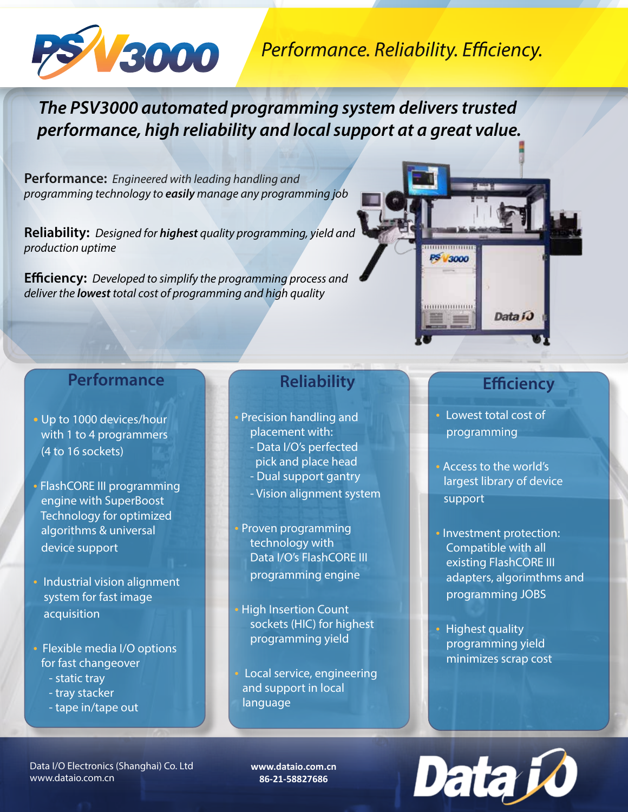

## *Performance. Reliability. Efficiency.*

*The PSV3000 automated programming system delivers trusted performance, high reliability and local support at a great value.*

**Performance:** *Engineered with leading handling and programming technology to easily manage any programming job*

**Reliability:** *Designed for highest quality programming, yield and production uptime* 

**Efficiency:** *Developed to simplify the programming process and deliver the lowest total cost of programming and high quality* 

## **Performance**

- **•** Up to 1000 devices/hour with 1 to 4 programmers (4 to 16 sockets)
- FlashCORE III programming engine with SuperBoost Technology for optimized algorithms & universal device support
- Industrial vision alignment system for fast image acquisition
- Flexible media I/O options for fast changeover
	- static tray
	- tray stacker
	- tape in/tape out

## **Reliability**

- Precision handling and placement with: - Data I/O's perfected pick and place head
	- Dual support gantry
	- Vision alignment system
- Proven programming technology with Data I/O's FlashCORE III programming engine
- High Insertion Count sockets (HIC) for highest programming yield
- Local service, engineering and support in local language

## **Efficiency**

Data i

• Lowest total cost of programming

PS 3000

*HUIHHHHHHH* 

- Access to the world's largest library of device support
- Investment protection: Compatible with all existing FlashCORE III adapters, algorimthms and programming JOBS
- Highest quality programming yield minimizes scrap cost

Data I/O Electronics (Shanghai) Co. Ltd www.dataio.com.cn

**www.dataio.com.cn 86-21-58827686**